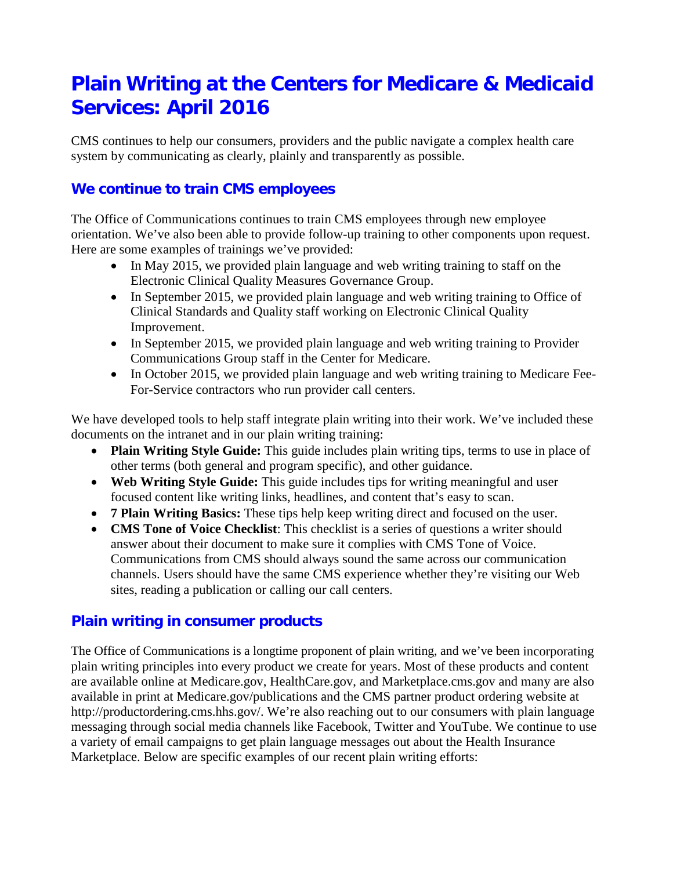# **Plain Writing at the Centers for Medicare & Medicaid Services: April 2016**

CMS continues to help our consumers, providers and the public navigate a complex health care system by communicating as clearly, plainly and transparently as possible.

## **We continue to train CMS employees**

The Office of Communications continues to train CMS employees through new employee orientation. We've also been able to provide follow-up training to other components upon request. Here are some examples of trainings we've provided:

- In May 2015, we provided plain language and web writing training to staff on the Electronic Clinical Quality Measures Governance Group.
- In September 2015, we provided plain language and web writing training to Office of Clinical Standards and Quality staff working on Electronic Clinical Quality Improvement.
- In September 2015, we provided plain language and web writing training to Provider Communications Group staff in the Center for Medicare.
- In October 2015, we provided plain language and web writing training to Medicare Fee-For-Service contractors who run provider call centers.

We have developed tools to help staff integrate plain writing into their work. We've included these documents on the intranet and in our plain writing training:

- **Plain Writing Style Guide:** This guide includes plain writing tips, terms to use in place of other terms (both general and program specific), and other guidance.
- **Web Writing Style Guide:** This guide includes tips for writing meaningful and user focused content like writing links, headlines, and content that's easy to scan.
- **7 Plain Writing Basics:** These tips help keep writing direct and focused on the user.
- **CMS Tone of Voice Checklist**: This checklist is a series of questions a writer should answer about their document to make sure it complies with CMS Tone of Voice. Communications from CMS should always sound the same across our communication channels. Users should have the same CMS experience whether they're visiting our Web sites, reading a publication or calling our call centers.

## **Plain writing in consumer products**

The Office of Communications is a longtime proponent of plain writing, and we've been incorporating plain writing principles into every product we create for years. Most of these products and content are available online at Medicare.gov, HealthCare.gov, and Marketplace.cms.gov and many are also available in print at Medicare.gov/publications and the CMS partner product ordering website at http://productordering.cms.hhs.gov/. We're also reaching out to our consumers with plain language messaging through social media channels like Facebook, Twitter and YouTube. We continue to use a variety of email campaigns to get plain language messages out about the Health Insurance Marketplace. Below are specific examples of our recent plain writing efforts: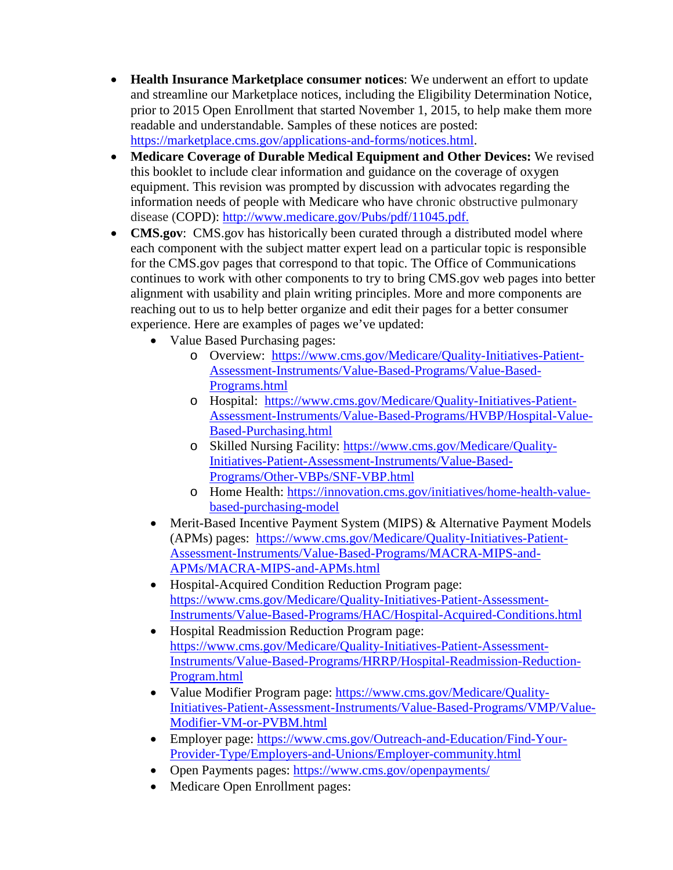- **Health Insurance Marketplace consumer notices**: We underwent an effort to update and streamline our Marketplace notices, including the Eligibility Determination Notice, prior to 2015 Open Enrollment that started November 1, 2015, to help make them more readable and understandable. Samples of these notices are posted: [https://marketplace.cms.gov/applications-and-forms/notices.html.](https://marketplace.cms.gov/applications-and-forms/notices.html)
- **Medicare Coverage of Durable Medical Equipment and Other Devices:** We revised this booklet to include clear information and guidance on the coverage of oxygen equipment. This revision was prompted by discussion with advocates regarding the information needs of people with Medicare who have chronic obstructive pulmonary disease (COPD): [http://www.medicare.gov/Pubs/pdf/11045.pdf.](http://www.medicare.gov/Pubs/pdf/11045.pdf)
- **CMS.gov**: CMS.gov has historically been curated through a distributed model where each component with the subject matter expert lead on a particular topic is responsible for the CMS.gov pages that correspond to that topic. The Office of Communications continues to work with other components to try to bring CMS.gov web pages into better alignment with usability and plain writing principles. More and more components are reaching out to us to help better organize and edit their pages for a better consumer experience. Here are examples of pages we've updated:
	- Value Based Purchasing pages:
		- o Overview: [https://www.cms.gov/Medicare/Quality-Initiatives-Patient-](https://www.cms.gov/Medicare/Quality-Initiatives-Patient-Assessment-Instruments/Value-Based-Programs/Value-Based-Programs.html)[Assessment-Instruments/Value-Based-Programs/Value-Based-](https://www.cms.gov/Medicare/Quality-Initiatives-Patient-Assessment-Instruments/Value-Based-Programs/Value-Based-Programs.html)[Programs.html](https://www.cms.gov/Medicare/Quality-Initiatives-Patient-Assessment-Instruments/Value-Based-Programs/Value-Based-Programs.html)
		- o Hospital: [https://www.cms.gov/Medicare/Quality-Initiatives-Patient-](https://www.cms.gov/Medicare/Quality-Initiatives-Patient-Assessment-Instruments/Value-Based-Programs/HVBP/Hospital-Value-Based-Purchasing.html)[Assessment-Instruments/Value-Based-Programs/HVBP/Hospital-Value-](https://www.cms.gov/Medicare/Quality-Initiatives-Patient-Assessment-Instruments/Value-Based-Programs/HVBP/Hospital-Value-Based-Purchasing.html)[Based-Purchasing.html](https://www.cms.gov/Medicare/Quality-Initiatives-Patient-Assessment-Instruments/Value-Based-Programs/HVBP/Hospital-Value-Based-Purchasing.html)
		- o Skilled Nursing Facility: [https://www.cms.gov/Medicare/Quality-](https://www.cms.gov/Medicare/Quality-Initiatives-Patient-Assessment-Instruments/Value-Based-Programs/Other-VBPs/SNF-VBP.html)[Initiatives-Patient-Assessment-Instruments/Value-Based-](https://www.cms.gov/Medicare/Quality-Initiatives-Patient-Assessment-Instruments/Value-Based-Programs/Other-VBPs/SNF-VBP.html)[Programs/Other-VBPs/SNF-VBP.html](https://www.cms.gov/Medicare/Quality-Initiatives-Patient-Assessment-Instruments/Value-Based-Programs/Other-VBPs/SNF-VBP.html)
		- o Home Health: [https://innovation.cms.gov/initiatives/home-health-value](https://innovation.cms.gov/initiatives/home-health-value-based-purchasing-model)[based-purchasing-model](https://innovation.cms.gov/initiatives/home-health-value-based-purchasing-model)
	- Merit-Based Incentive Payment System (MIPS) & Alternative Payment Models (APMs) pages: [https://www.cms.gov/Medicare/Quality-Initiatives-Patient-](https://www.cms.gov/Medicare/Quality-Initiatives-Patient-Assessment-Instruments/Value-Based-Programs/MACRA-MIPS-and-APMs/MACRA-MIPS-and-APMs.html)[Assessment-Instruments/Value-Based-Programs/MACRA-MIPS-and-](https://www.cms.gov/Medicare/Quality-Initiatives-Patient-Assessment-Instruments/Value-Based-Programs/MACRA-MIPS-and-APMs/MACRA-MIPS-and-APMs.html)[APMs/MACRA-MIPS-and-APMs.html](https://www.cms.gov/Medicare/Quality-Initiatives-Patient-Assessment-Instruments/Value-Based-Programs/MACRA-MIPS-and-APMs/MACRA-MIPS-and-APMs.html)
	- Hospital-Acquired Condition Reduction Program page: [https://www.cms.gov/Medicare/Quality-Initiatives-Patient-Assessment-](https://www.cms.gov/Medicare/Quality-Initiatives-Patient-Assessment-Instruments/Value-Based-Programs/HAC/Hospital-Acquired-Conditions.html)[Instruments/Value-Based-Programs/HAC/Hospital-Acquired-Conditions.html](https://www.cms.gov/Medicare/Quality-Initiatives-Patient-Assessment-Instruments/Value-Based-Programs/HAC/Hospital-Acquired-Conditions.html)
	- Hospital Readmission Reduction Program page: [https://www.cms.gov/Medicare/Quality-Initiatives-Patient-Assessment-](https://www.cms.gov/Medicare/Quality-Initiatives-Patient-Assessment-Instruments/Value-Based-Programs/HRRP/Hospital-Readmission-Reduction-Program.html)[Instruments/Value-Based-Programs/HRRP/Hospital-Readmission-Reduction-](https://www.cms.gov/Medicare/Quality-Initiatives-Patient-Assessment-Instruments/Value-Based-Programs/HRRP/Hospital-Readmission-Reduction-Program.html)[Program.html](https://www.cms.gov/Medicare/Quality-Initiatives-Patient-Assessment-Instruments/Value-Based-Programs/HRRP/Hospital-Readmission-Reduction-Program.html)
	- Value Modifier Program page: [https://www.cms.gov/Medicare/Quality-](https://www.cms.gov/Medicare/Quality-Initiatives-Patient-Assessment-Instruments/Value-Based-Programs/VMP/Value-Modifier-VM-or-PVBM.html)[Initiatives-Patient-Assessment-Instruments/Value-Based-Programs/VMP/Value-](https://www.cms.gov/Medicare/Quality-Initiatives-Patient-Assessment-Instruments/Value-Based-Programs/VMP/Value-Modifier-VM-or-PVBM.html)[Modifier-VM-or-PVBM.html](https://www.cms.gov/Medicare/Quality-Initiatives-Patient-Assessment-Instruments/Value-Based-Programs/VMP/Value-Modifier-VM-or-PVBM.html)
	- Employer page: [https://www.cms.gov/Outreach-and-Education/Find-Your-](https://www.cms.gov/Outreach-and-Education/Find-Your-Provider-Type/Employers-and-Unions/Employer-community.html)[Provider-Type/Employers-and-Unions/Employer-community.html](https://www.cms.gov/Outreach-and-Education/Find-Your-Provider-Type/Employers-and-Unions/Employer-community.html)
	- Open Payments pages:<https://www.cms.gov/openpayments/>
	- Medicare Open Enrollment pages: